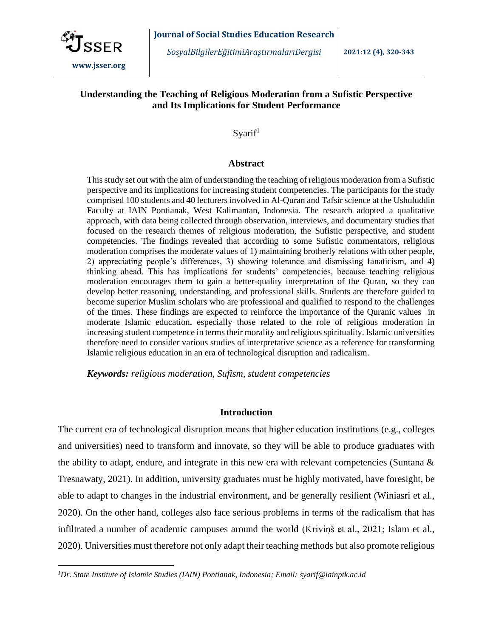

*SosyalBilgilerEğitimiAraştırmalarıDergisi* **2021:12 (4), 320-343**

# **Understanding the Teaching of Religious Moderation from a Sufistic Perspective and Its Implications for Student Performance**

 $S\$ {variif}^1

### **Abstract**

This study set out with the aim of understanding the teaching of religious moderation from a Sufistic perspective and its implications for increasing student competencies. The participants for the study comprised 100 students and 40 lecturers involved in Al-Quran and Tafsir science at the Ushuluddin Faculty at IAIN Pontianak, West Kalimantan, Indonesia. The research adopted a qualitative approach, with data being collected through observation, interviews, and documentary studies that focused on the research themes of religious moderation, the Sufistic perspective, and student competencies. The findings revealed that according to some Sufistic commentators, religious moderation comprises the moderate values of 1) maintaining brotherly relations with other people, 2) appreciating people's differences, 3) showing tolerance and dismissing fanaticism, and 4) thinking ahead. This has implications for students' competencies, because teaching religious moderation encourages them to gain a better-quality interpretation of the Quran, so they can develop better reasoning, understanding, and professional skills. Students are therefore guided to become superior Muslim scholars who are professional and qualified to respond to the challenges of the times. These findings are expected to reinforce the importance of the Quranic values in moderate Islamic education, especially those related to the role of religious moderation in increasing student competence in terms their morality and religious spirituality. Islamic universities therefore need to consider various studies of interpretative science as a reference for transforming Islamic religious education in an era of technological disruption and radicalism.

*Keywords: religious moderation, Sufism, student competencies*

## **Introduction**

The current era of technological disruption means that higher education institutions (e.g., colleges and universities) need to transform and innovate, so they will be able to produce graduates with the ability to adapt, endure, and integrate in this new era with relevant competencies (Suntana  $\&$ Tresnawaty, 2021). In addition, university graduates must be highly motivated, have foresight, be able to adapt to changes in the industrial environment, and be generally resilient (Winiasri et al., 2020). On the other hand, colleges also face serious problems in terms of the radicalism that has infiltrated a number of academic campuses around the world (Kriviņš et al., 2021; Islam et al., 2020). Universities must therefore not only adapt their teaching methods but also promote religious

*<sup>1</sup>Dr. State Institute of Islamic Studies (IAIN) Pontianak, Indonesia; Email: syarif@iainptk.ac.id*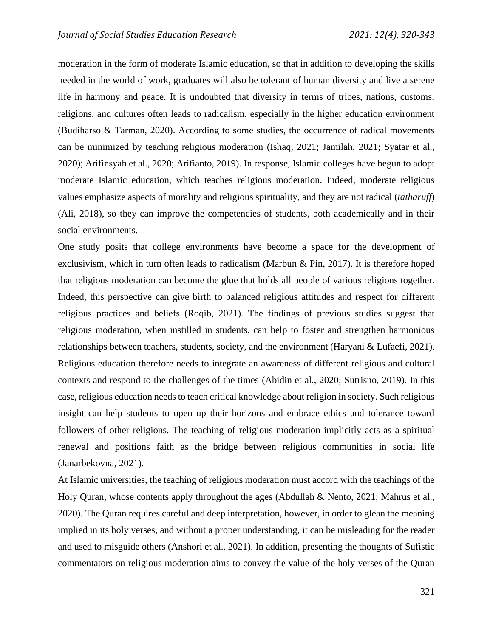moderation in the form of moderate Islamic education, so that in addition to developing the skills needed in the world of work, graduates will also be tolerant of human diversity and live a serene life in harmony and peace. It is undoubted that diversity in terms of tribes, nations, customs, religions, and cultures often leads to radicalism, especially in the higher education environment (Budiharso & Tarman, 2020). According to some studies, the occurrence of radical movements can be minimized by teaching religious moderation (Ishaq, 2021; Jamilah, 2021; Syatar et al., 2020); Arifinsyah et al., 2020; Arifianto, 2019). In response, Islamic colleges have begun to adopt moderate Islamic education, which teaches religious moderation. Indeed, moderate religious values emphasize aspects of morality and religious spirituality, and they are not radical (*tatharuff*) (Ali, 2018), so they can improve the competencies of students, both academically and in their social environments.

One study posits that college environments have become a space for the development of exclusivism, which in turn often leads to radicalism (Marbun & Pin, 2017). It is therefore hoped that religious moderation can become the glue that holds all people of various religions together. Indeed, this perspective can give birth to balanced religious attitudes and respect for different religious practices and beliefs (Roqib, 2021). The findings of previous studies suggest that religious moderation, when instilled in students, can help to foster and strengthen harmonious relationships between teachers, students, society, and the environment (Haryani & Lufaefi, 2021). Religious education therefore needs to integrate an awareness of different religious and cultural contexts and respond to the challenges of the times (Abidin et al., 2020; Sutrisno, 2019). In this case, religious education needs to teach critical knowledge about religion in society. Such religious insight can help students to open up their horizons and embrace ethics and tolerance toward followers of other religions. The teaching of religious moderation implicitly acts as a spiritual renewal and positions faith as the bridge between religious communities in social life (Janarbekovna, 2021).

At Islamic universities, the teaching of religious moderation must accord with the teachings of the Holy Quran, whose contents apply throughout the ages (Abdullah & Nento, 2021; Mahrus et al., 2020). The Quran requires careful and deep interpretation, however, in order to glean the meaning implied in its holy verses, and without a proper understanding, it can be misleading for the reader and used to misguide others (Anshori et al., 2021). In addition, presenting the thoughts of Sufistic commentators on religious moderation aims to convey the value of the holy verses of the Quran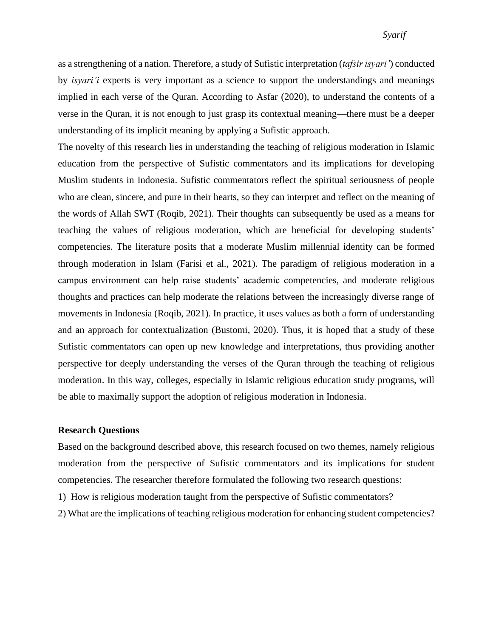## *Syarif*

as a strengthening of a nation. Therefore, a study of Sufistic interpretation (*tafsir isyari'*) conducted by *isyari'i* experts is very important as a science to support the understandings and meanings implied in each verse of the Quran. According to Asfar (2020), to understand the contents of a verse in the Quran, it is not enough to just grasp its contextual meaning—there must be a deeper understanding of its implicit meaning by applying a Sufistic approach.

The novelty of this research lies in understanding the teaching of religious moderation in Islamic education from the perspective of Sufistic commentators and its implications for developing Muslim students in Indonesia. Sufistic commentators reflect the spiritual seriousness of people who are clean, sincere, and pure in their hearts, so they can interpret and reflect on the meaning of the words of Allah SWT (Roqib, 2021). Their thoughts can subsequently be used as a means for teaching the values of religious moderation, which are beneficial for developing students' competencies. The literature posits that a moderate Muslim millennial identity can be formed through moderation in Islam (Farisi et al., 2021). The paradigm of religious moderation in a campus environment can help raise students' academic competencies, and moderate religious thoughts and practices can help moderate the relations between the increasingly diverse range of movements in Indonesia (Roqib, 2021). In practice, it uses values as both a form of understanding and an approach for contextualization (Bustomi, 2020). Thus, it is hoped that a study of these Sufistic commentators can open up new knowledge and interpretations, thus providing another perspective for deeply understanding the verses of the Quran through the teaching of religious moderation. In this way, colleges, especially in Islamic religious education study programs, will be able to maximally support the adoption of religious moderation in Indonesia.

### **Research Questions**

Based on the background described above, this research focused on two themes, namely religious moderation from the perspective of Sufistic commentators and its implications for student competencies. The researcher therefore formulated the following two research questions:

- 1) How is religious moderation taught from the perspective of Sufistic commentators?
- 2) What are the implications of teaching religious moderation for enhancing student competencies?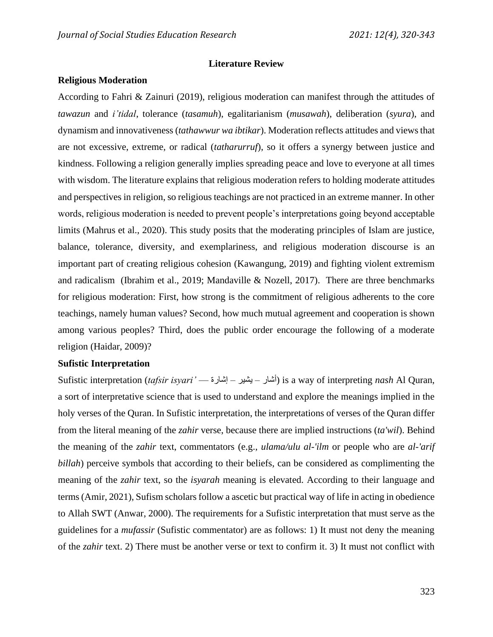### **Literature Review**

### **Religious Moderation**

According to Fahri & Zainuri (2019), religious moderation can manifest through the attitudes of *tawazun* and *i'tidal*, tolerance (*tasamuh*), egalitarianism (*musawah*), deliberation (*syura*), and dynamism and innovativeness (*tathawwur wa ibtikar*). Moderation reflects attitudes and views that are not excessive, extreme, or radical (*tatharurruf*), so it offers a synergy between justice and kindness. Following a religion generally implies spreading peace and love to everyone at all times with wisdom. The literature explains that religious moderation refers to holding moderate attitudes and perspectives in religion, so religious teachings are not practiced in an extreme manner. In other words, religious moderation is needed to prevent people's interpretations going beyond acceptable limits (Mahrus et al., 2020). This study posits that the moderating principles of Islam are justice, balance, tolerance, diversity, and exemplariness, and religious moderation discourse is an important part of creating religious cohesion (Kawangung, 2019) and fighting violent extremism and radicalism (Ibrahim et al., 2019; Mandaville & Nozell, 2017). There are three benchmarks for religious moderation: First, how strong is the commitment of religious adherents to the core teachings, namely human values? Second, how much mutual agreement and cooperation is shown among various peoples? Third, does the public order encourage the following of a moderate religion (Haidar, 2009)?

### **Sufistic Interpretation**

Sufistic interpretation (*tafsir isyari'* — يشير – إشارة – إشارة ) is a way of interpreting *nash* Al Ouran. a sort of interpretative science that is used to understand and explore the meanings implied in the holy verses of the Quran. In Sufistic interpretation, the interpretations of verses of the Quran differ from the literal meaning of the *zahir* verse, because there are implied instructions (*ta'wil*). Behind the meaning of the *zahir* text, commentators (e.g., *ulama/ulu al-'ilm* or people who are *al-'arif billah*) perceive symbols that according to their beliefs, can be considered as complimenting the meaning of the *zahir* text, so the *isyarah* meaning is elevated. According to their language and terms (Amir, 2021), Sufism scholars follow a ascetic but practical way of life in acting in obedience to Allah SWT (Anwar, 2000). The requirements for a Sufistic interpretation that must serve as the guidelines for a *mufassir* (Sufistic commentator) are as follows: 1) It must not deny the meaning of the *zahir* text. 2) There must be another verse or text to confirm it. 3) It must not conflict with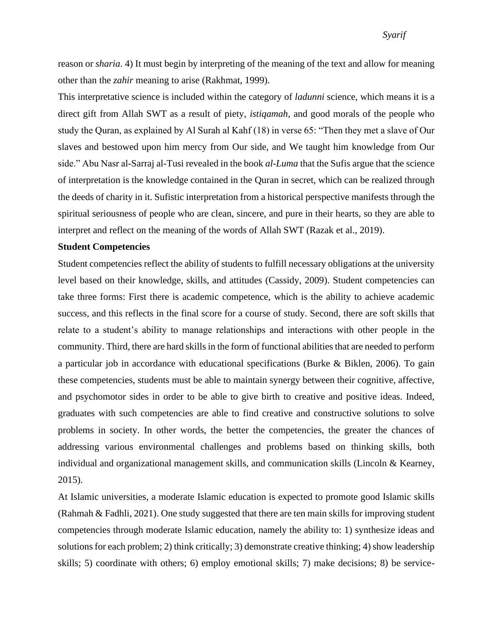## *Syarif*

reason or *sharia*. 4) It must begin by interpreting of the meaning of the text and allow for meaning other than the *zahir* meaning to arise (Rakhmat, 1999).

This interpretative science is included within the category of *ladunni* science, which means it is a direct gift from Allah SWT as a result of piety, *istiqamah*, and good morals of the people who study the Quran, as explained by Al Surah al Kahf (18) in verse 65: "Then they met a slave of Our slaves and bestowed upon him mercy from Our side, and We taught him knowledge from Our side." Abu Nasr al-Sarraj al-Tusi revealed in the book *al-Luma* that the Sufis argue that the science of interpretation is the knowledge contained in the Quran in secret, which can be realized through the deeds of charity in it. Sufistic interpretation from a historical perspective manifests through the spiritual seriousness of people who are clean, sincere, and pure in their hearts, so they are able to interpret and reflect on the meaning of the words of Allah SWT (Razak et al., 2019).

#### **Student Competencies**

Student competencies reflect the ability of students to fulfill necessary obligations at the university level based on their knowledge, skills, and attitudes (Cassidy, 2009). Student competencies can take three forms: First there is academic competence, which is the ability to achieve academic success, and this reflects in the final score for a course of study. Second, there are soft skills that relate to a student's ability to manage relationships and interactions with other people in the community. Third, there are hard skills in the form of functional abilities that are needed to perform a particular job in accordance with educational specifications (Burke & Biklen, 2006). To gain these competencies, students must be able to maintain synergy between their cognitive, affective, and psychomotor sides in order to be able to give birth to creative and positive ideas. Indeed, graduates with such competencies are able to find creative and constructive solutions to solve problems in society. In other words, the better the competencies, the greater the chances of addressing various environmental challenges and problems based on thinking skills, both individual and organizational management skills, and communication skills (Lincoln & Kearney, 2015).

At Islamic universities, a moderate Islamic education is expected to promote good Islamic skills (Rahmah & Fadhli, 2021). One study suggested that there are ten main skills for improving student competencies through moderate Islamic education, namely the ability to: 1) synthesize ideas and solutions for each problem; 2) think critically; 3) demonstrate creative thinking; 4) show leadership skills; 5) coordinate with others; 6) employ emotional skills; 7) make decisions; 8) be service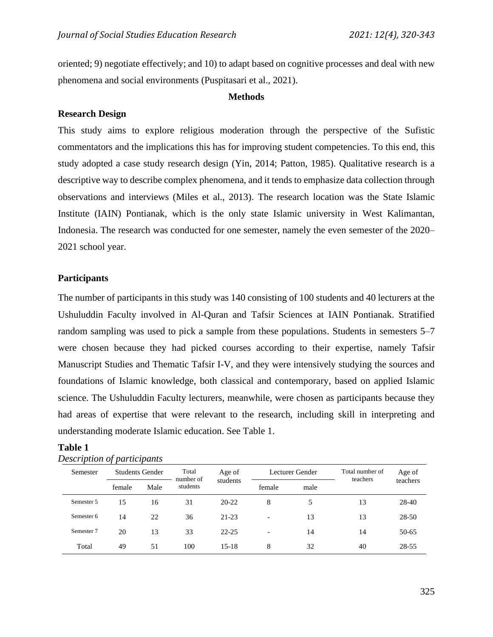oriented; 9) negotiate effectively; and 10) to adapt based on cognitive processes and deal with new phenomena and social environments (Puspitasari et al., 2021).

#### **Methods**

### **Research Design**

This study aims to explore religious moderation through the perspective of the Sufistic commentators and the implications this has for improving student competencies. To this end, this study adopted a case study research design (Yin, 2014; Patton, 1985). Qualitative research is a descriptive way to describe complex phenomena, and it tends to emphasize data collection through observations and interviews (Miles et al., 2013). The research location was the State Islamic Institute (IAIN) Pontianak, which is the only state Islamic university in West Kalimantan, Indonesia. The research was conducted for one semester, namely the even semester of the 2020– 2021 school year.

### **Participants**

The number of participants in this study was 140 consisting of 100 students and 40 lecturers at the Ushuluddin Faculty involved in Al-Quran and Tafsir Sciences at IAIN Pontianak. Stratified random sampling was used to pick a sample from these populations. Students in semesters 5–7 were chosen because they had picked courses according to their expertise, namely Tafsir Manuscript Studies and Thematic Tafsir I-V, and they were intensively studying the sources and foundations of Islamic knowledge, both classical and contemporary, based on applied Islamic science. The Ushuluddin Faculty lecturers, meanwhile, were chosen as participants because they had areas of expertise that were relevant to the research, including skill in interpreting and understanding moderate Islamic education. See Table 1.

## **Table 1**

| Semester   | <b>Students Gender</b> |      | Total<br>number of | Age of    |                          | Lecturer Gender | Total number of<br>teachers | Age of   |  |
|------------|------------------------|------|--------------------|-----------|--------------------------|-----------------|-----------------------------|----------|--|
|            | female                 | Male | students           | students  | female                   | male            |                             | teachers |  |
| Semester 5 | 15                     | 16   | 31                 | $20 - 22$ | 8                        | 5               | 13                          | 28-40    |  |
| Semester 6 | 14                     | 22   | 36                 | $21 - 23$ | $\overline{\phantom{0}}$ | 13              | 13                          | 28-50    |  |
| Semester 7 | 20                     | 13   | 33                 | $22 - 25$ | $\overline{\phantom{a}}$ | 14              | 14                          | 50-65    |  |
| Total      | 49                     | 51   | 100                | $15 - 18$ | 8                        | 32              | 40                          | 28-55    |  |

#### *Description of participants*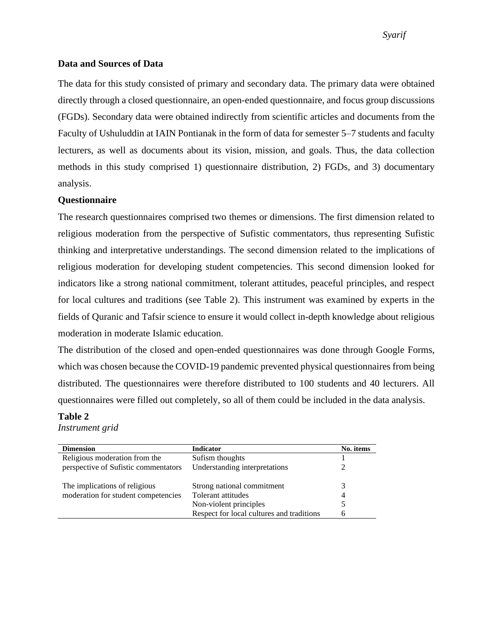## *Syarif*

### **Data and Sources of Data**

The data for this study consisted of primary and secondary data. The primary data were obtained directly through a closed questionnaire, an open-ended questionnaire, and focus group discussions (FGDs). Secondary data were obtained indirectly from scientific articles and documents from the Faculty of Ushuluddin at IAIN Pontianak in the form of data for semester 5–7 students and faculty lecturers, as well as documents about its vision, mission, and goals. Thus, the data collection methods in this study comprised 1) questionnaire distribution, 2) FGDs, and 3) documentary analysis.

### **Questionnaire**

The research questionnaires comprised two themes or dimensions. The first dimension related to religious moderation from the perspective of Sufistic commentators, thus representing Sufistic thinking and interpretative understandings. The second dimension related to the implications of religious moderation for developing student competencies. This second dimension looked for indicators like a strong national commitment, tolerant attitudes, peaceful principles, and respect for local cultures and traditions (see Table 2). This instrument was examined by experts in the fields of Quranic and Tafsir science to ensure it would collect in-depth knowledge about religious moderation in moderate Islamic education.

The distribution of the closed and open-ended questionnaires was done through Google Forms, which was chosen because the COVID-19 pandemic prevented physical questionnaires from being distributed. The questionnaires were therefore distributed to 100 students and 40 lecturers. All questionnaires were filled out completely, so all of them could be included in the data analysis.

### **Table 2**

*Instrument grid*

| <b>Dimension</b>                     | <b>Indicator</b>                          | No. items |
|--------------------------------------|-------------------------------------------|-----------|
| Religious moderation from the        | Sufism thoughts                           |           |
| perspective of Sufistic commentators | Understanding interpretations             |           |
| The implications of religious        | Strong national commitment                |           |
| moderation for student competencies  | Tolerant attitudes                        |           |
|                                      | Non-violent principles                    |           |
|                                      | Respect for local cultures and traditions |           |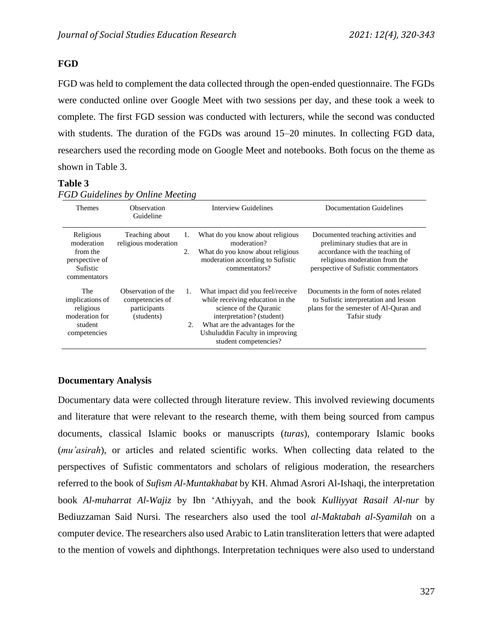# **FGD**

FGD was held to complement the data collected through the open-ended questionnaire. The FGDs were conducted online over Google Meet with two sessions per day, and these took a week to complete. The first FGD session was conducted with lecturers, while the second was conducted with students. The duration of the FGDs was around 15–20 minutes. In collecting FGD data, researchers used the recording mode on Google Meet and notebooks. Both focus on the theme as shown in Table 3.

## **Table 3**

| Themes                                                                            | Observation<br>Guideline                                            |          | Interview Guidelines                                                                                                                                                                                                       | Documentation Guidelines                                                                                                                                                          |
|-----------------------------------------------------------------------------------|---------------------------------------------------------------------|----------|----------------------------------------------------------------------------------------------------------------------------------------------------------------------------------------------------------------------------|-----------------------------------------------------------------------------------------------------------------------------------------------------------------------------------|
| Religious<br>moderation<br>from the<br>perspective of<br>Sufistic<br>commentators | Teaching about<br>religious moderation                              | 1.<br>2. | What do you know about religious<br>moderation?<br>What do you know about religious<br>moderation according to Sufistic<br>commentators?                                                                                   | Documented teaching activities and<br>preliminary studies that are in<br>accordance with the teaching of<br>religious moderation from the<br>perspective of Sufistic commentators |
| The<br>implications of<br>religious<br>moderation for<br>student<br>competencies  | Observation of the<br>competencies of<br>participants<br>(students) | 1.<br>2. | What impact did you feel/receive<br>while receiving education in the<br>science of the Ouranic<br>interpretation? (student)<br>What are the advantages for the<br>Ushuluddin Faculty in improving<br>student competencies? | Documents in the form of notes related<br>to Sufistic interpretation and lesson<br>plans for the semester of Al-Quran and<br>Tafsir study                                         |

*FGD Guidelines by Online Meeting*

## **Documentary Analysis**

Documentary data were collected through literature review. This involved reviewing documents and literature that were relevant to the research theme, with them being sourced from campus documents, classical Islamic books or manuscripts (*turas*), contemporary Islamic books (*mu'asirah*), or articles and related scientific works. When collecting data related to the perspectives of Sufistic commentators and scholars of religious moderation, the researchers referred to the book of *Sufism Al-Muntakhabat* by KH. Ahmad Asrori Al-Ishaqi, the interpretation book *Al-muharrat Al-Wajiz* by Ibn 'Athiyyah, and the book *Kulliyyat Rasail Al-nur* by Bediuzzaman Said Nursi. The researchers also used the tool *al-Maktabah al-Syamilah* on a computer device. The researchers also used Arabic to Latin transliteration letters that were adapted to the mention of vowels and diphthongs. Interpretation techniques were also used to understand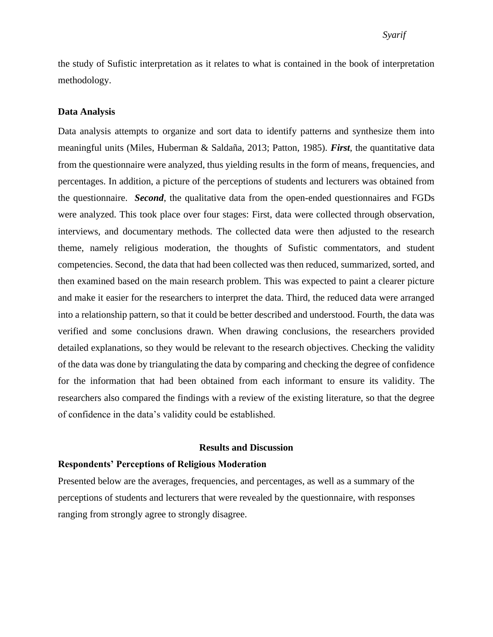## *Syarif*

the study of Sufistic interpretation as it relates to what is contained in the book of interpretation methodology.

### **Data Analysis**

Data analysis attempts to organize and sort data to identify patterns and synthesize them into meaningful units (Miles, Huberman & Saldaña, 2013; Patton, 1985). *First*, the quantitative data from the questionnaire were analyzed, thus yielding results in the form of means, frequencies, and percentages. In addition, a picture of the perceptions of students and lecturers was obtained from the questionnaire. *Second*, the qualitative data from the open-ended questionnaires and FGDs were analyzed. This took place over four stages: First, data were collected through observation, interviews, and documentary methods. The collected data were then adjusted to the research theme, namely religious moderation, the thoughts of Sufistic commentators, and student competencies. Second, the data that had been collected was then reduced, summarized, sorted, and then examined based on the main research problem. This was expected to paint a clearer picture and make it easier for the researchers to interpret the data. Third, the reduced data were arranged into a relationship pattern, so that it could be better described and understood. Fourth, the data was verified and some conclusions drawn. When drawing conclusions, the researchers provided detailed explanations, so they would be relevant to the research objectives. Checking the validity of the data was done by triangulating the data by comparing and checking the degree of confidence for the information that had been obtained from each informant to ensure its validity. The researchers also compared the findings with a review of the existing literature, so that the degree of confidence in the data's validity could be established.

### **Results and Discussion**

### **Respondents' Perceptions of Religious Moderation**

Presented below are the averages, frequencies, and percentages, as well as a summary of the perceptions of students and lecturers that were revealed by the questionnaire, with responses ranging from strongly agree to strongly disagree.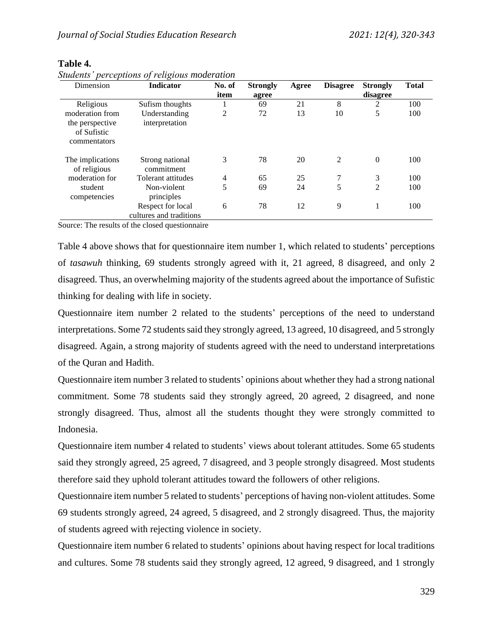| Dimension        | <b>Indicator</b>        | No. of | <b>Strongly</b> | Agree | <b>Disagree</b> | <b>Strongly</b> | <b>Total</b> |
|------------------|-------------------------|--------|-----------------|-------|-----------------|-----------------|--------------|
|                  |                         | item   | agree           |       |                 | disagree        |              |
| Religious        | Sufism thoughts         |        | 69              | 21    | 8               | 2               | 100          |
| moderation from  | Understanding           | 2      | 72              | 13    | 10              | 5               | 100          |
| the perspective  | interpretation          |        |                 |       |                 |                 |              |
| of Sufistic      |                         |        |                 |       |                 |                 |              |
| commentators     |                         |        |                 |       |                 |                 |              |
| The implications | Strong national         | 3      | 78              | 20    | $\overline{2}$  | $\Omega$        | 100          |
| of religious     | commitment              |        |                 |       |                 |                 |              |
| moderation for   | Tolerant attitudes      | 4      | 65              | 25    | 7               | 3               | 100          |
| student          | Non-violent             | 5      | 69              | 24    | 5               | 2               | 100          |
| competencies     | principles              |        |                 |       |                 |                 |              |
|                  | Respect for local       | 6      | 78              | 12    | 9               |                 | 100          |
|                  | cultures and traditions |        |                 |       |                 |                 |              |

## **Table 4.**

*Students' perceptions of religious moderation*

Source: The results of the closed questionnaire

Table 4 above shows that for questionnaire item number 1, which related to students' perceptions of *tasawuh* thinking, 69 students strongly agreed with it, 21 agreed, 8 disagreed, and only 2 disagreed. Thus, an overwhelming majority of the students agreed about the importance of Sufistic thinking for dealing with life in society.

Questionnaire item number 2 related to the students' perceptions of the need to understand interpretations. Some 72 students said they strongly agreed, 13 agreed, 10 disagreed, and 5 strongly disagreed. Again, a strong majority of students agreed with the need to understand interpretations of the Quran and Hadith.

Questionnaire item number 3 related to students' opinions about whether they had a strong national commitment. Some 78 students said they strongly agreed, 20 agreed, 2 disagreed, and none strongly disagreed. Thus, almost all the students thought they were strongly committed to Indonesia.

Questionnaire item number 4 related to students' views about tolerant attitudes. Some 65 students said they strongly agreed, 25 agreed, 7 disagreed, and 3 people strongly disagreed. Most students therefore said they uphold tolerant attitudes toward the followers of other religions.

Questionnaire item number 5 related to students' perceptions of having non-violent attitudes. Some 69 students strongly agreed, 24 agreed, 5 disagreed, and 2 strongly disagreed. Thus, the majority of students agreed with rejecting violence in society.

Questionnaire item number 6 related to students' opinions about having respect for local traditions and cultures. Some 78 students said they strongly agreed, 12 agreed, 9 disagreed, and 1 strongly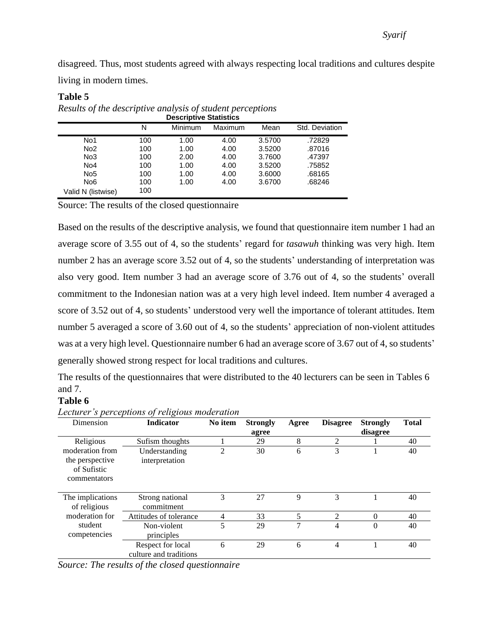disagreed. Thus, most students agreed with always respecting local traditions and cultures despite living in modern times.

## **Table 5**

| <b>Descriptive Statistics</b> |     |         |         |        |                |  |  |
|-------------------------------|-----|---------|---------|--------|----------------|--|--|
|                               | N   | Minimum | Maximum | Mean   | Std. Deviation |  |  |
| No1                           | 100 | 1.00    | 4.00    | 3.5700 | .72829         |  |  |
| No <sub>2</sub>               | 100 | 1.00    | 4.00    | 3.5200 | .87016         |  |  |
| No <sub>3</sub>               | 100 | 2.00    | 4.00    | 3.7600 | .47397         |  |  |
| No <sub>4</sub>               | 100 | 1.00    | 4.00    | 3.5200 | .75852         |  |  |
| No <sub>5</sub>               | 100 | 1.00    | 4.00    | 3.6000 | .68165         |  |  |
| No <sub>6</sub>               | 100 | 1.00    | 4.00    | 3.6700 | .68246         |  |  |
| Valid N (listwise)            | 100 |         |         |        |                |  |  |

*Results of the descriptive analysis of student perceptions*

Source: The results of the closed questionnaire

Based on the results of the descriptive analysis, we found that questionnaire item number 1 had an average score of 3.55 out of 4, so the students' regard for *tasawuh* thinking was very high. Item number 2 has an average score 3.52 out of 4, so the students' understanding of interpretation was also very good. Item number 3 had an average score of 3.76 out of 4, so the students' overall commitment to the Indonesian nation was at a very high level indeed. Item number 4 averaged a score of 3.52 out of 4, so students' understood very well the importance of tolerant attitudes. Item number 5 averaged a score of 3.60 out of 4, so the students' appreciation of non-violent attitudes was at a very high level. Questionnaire number 6 had an average score of 3.67 out of 4, so students' generally showed strong respect for local traditions and cultures.

The results of the questionnaires that were distributed to the 40 lecturers can be seen in Tables 6 and 7.

## **Table 6**

| Dimension                                                         | <b>Indicator</b>                            | No item        | <b>Strongly</b><br>agree | Agree | <b>Disagree</b> | <b>Strongly</b><br>disagree | <b>Total</b> |
|-------------------------------------------------------------------|---------------------------------------------|----------------|--------------------------|-------|-----------------|-----------------------------|--------------|
| Religious                                                         | Sufism thoughts                             |                | 29                       | 8     | $\overline{2}$  |                             | 40           |
| moderation from<br>the perspective<br>of Sufistic<br>commentators | Understanding<br>interpretation             | $\overline{2}$ | 30                       | 6     | 3               |                             | 40           |
| The implications<br>of religious                                  | Strong national<br>commitment               | 3              | 27                       | 9     | 3               |                             | 40           |
| moderation for                                                    | Attitudes of tolerance                      | 4              | 33                       | 5     | 2               | $\theta$                    | 40           |
| student<br>competencies                                           | Non-violent<br>principles                   | 5              | 29                       | 7     | 4               | $\theta$                    | 40           |
|                                                                   | Respect for local<br>culture and traditions | 6              | 29                       | 6     | 4               |                             | 40           |

*Lecturer's perceptions of religious moderation*

*Source: The results of the closed questionnaire*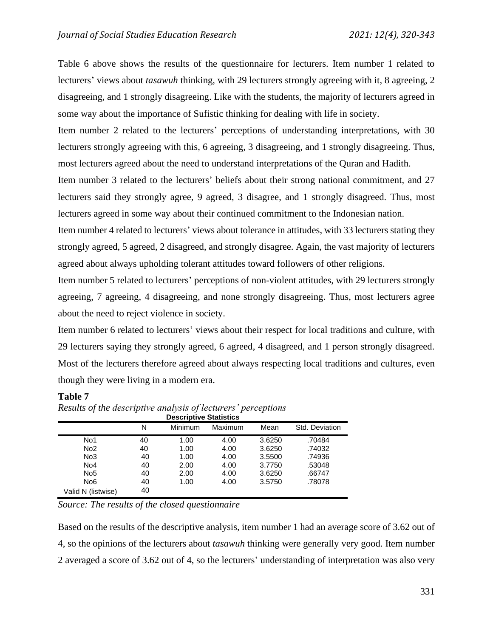Table 6 above shows the results of the questionnaire for lecturers. Item number 1 related to lecturers' views about *tasawuh* thinking, with 29 lecturers strongly agreeing with it, 8 agreeing, 2 disagreeing, and 1 strongly disagreeing. Like with the students, the majority of lecturers agreed in some way about the importance of Sufistic thinking for dealing with life in society.

Item number 2 related to the lecturers' perceptions of understanding interpretations, with 30 lecturers strongly agreeing with this, 6 agreeing, 3 disagreeing, and 1 strongly disagreeing. Thus, most lecturers agreed about the need to understand interpretations of the Quran and Hadith.

Item number 3 related to the lecturers' beliefs about their strong national commitment, and 27 lecturers said they strongly agree, 9 agreed, 3 disagree, and 1 strongly disagreed. Thus, most lecturers agreed in some way about their continued commitment to the Indonesian nation.

Item number 4 related to lecturers' views about tolerance in attitudes, with 33 lecturers stating they strongly agreed, 5 agreed, 2 disagreed, and strongly disagree. Again, the vast majority of lecturers agreed about always upholding tolerant attitudes toward followers of other religions.

Item number 5 related to lecturers' perceptions of non-violent attitudes, with 29 lecturers strongly agreeing, 7 agreeing, 4 disagreeing, and none strongly disagreeing. Thus, most lecturers agree about the need to reject violence in society.

Item number 6 related to lecturers' views about their respect for local traditions and culture, with 29 lecturers saying they strongly agreed, 6 agreed, 4 disagreed, and 1 person strongly disagreed. Most of the lecturers therefore agreed about always respecting local traditions and cultures, even though they were living in a modern era.

## **Table 7**

| <b>Descriptive Statistics</b> |    |         |         |        |                |  |  |
|-------------------------------|----|---------|---------|--------|----------------|--|--|
|                               | N  | Minimum | Maximum | Mean   | Std. Deviation |  |  |
| No1                           | 40 | 1.00    | 4.00    | 3.6250 | .70484         |  |  |
| No <sub>2</sub>               | 40 | 1.00    | 4.00    | 3.6250 | .74032         |  |  |
| No3                           | 40 | 1.00    | 4.00    | 3.5500 | .74936         |  |  |
| No <sub>4</sub>               | 40 | 2.00    | 4.00    | 3.7750 | .53048         |  |  |
| No <sub>5</sub>               | 40 | 2.00    | 4.00    | 3.6250 | .66747         |  |  |
| No <sub>6</sub>               | 40 | 1.00    | 4.00    | 3.5750 | .78078         |  |  |
| Valid N (listwise)            | 40 |         |         |        |                |  |  |

*Results of the descriptive analysis of lecturers' perceptions*

*Source: The results of the closed questionnaire* 

Based on the results of the descriptive analysis, item number 1 had an average score of 3.62 out of 4, so the opinions of the lecturers about *tasawuh* thinking were generally very good. Item number 2 averaged a score of 3.62 out of 4, so the lecturers' understanding of interpretation was also very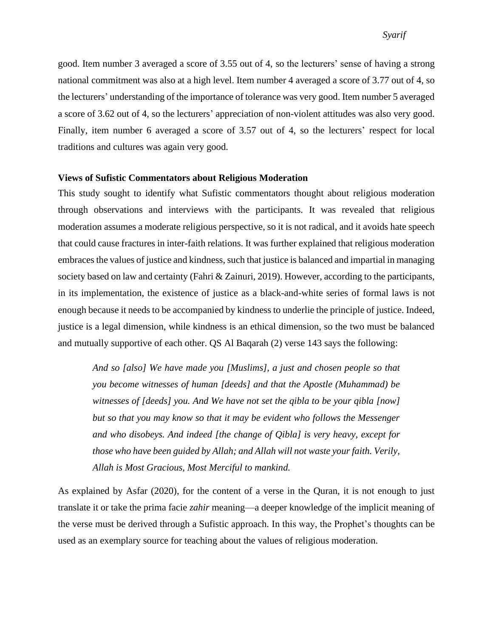good. Item number 3 averaged a score of 3.55 out of 4, so the lecturers' sense of having a strong national commitment was also at a high level. Item number 4 averaged a score of 3.77 out of 4, so the lecturers' understanding of the importance of tolerance was very good. Item number 5 averaged a score of 3.62 out of 4, so the lecturers' appreciation of non-violent attitudes was also very good. Finally, item number 6 averaged a score of 3.57 out of 4, so the lecturers' respect for local traditions and cultures was again very good.

### **Views of Sufistic Commentators about Religious Moderation**

This study sought to identify what Sufistic commentators thought about religious moderation through observations and interviews with the participants. It was revealed that religious moderation assumes a moderate religious perspective, so it is not radical, and it avoids hate speech that could cause fractures in inter-faith relations. It was further explained that religious moderation embracesthe values of justice and kindness, such that justice is balanced and impartial in managing society based on law and certainty (Fahri & Zainuri, 2019). However, according to the participants, in its implementation, the existence of justice as a black-and-white series of formal laws is not enough because it needs to be accompanied by kindness to underlie the principle of justice. Indeed, justice is a legal dimension, while kindness is an ethical dimension, so the two must be balanced and mutually supportive of each other. QS Al Baqarah (2) verse 143 says the following:

*And so [also] We have made you [Muslims], a just and chosen people so that you become witnesses of human [deeds] and that the Apostle (Muhammad) be witnesses of [deeds] you. And We have not set the qibla to be your qibla [now] but so that you may know so that it may be evident who follows the Messenger and who disobeys. And indeed [the change of Qibla] is very heavy, except for those who have been guided by Allah; and Allah will not waste your faith. Verily, Allah is Most Gracious, Most Merciful to mankind.*

As explained by Asfar (2020), for the content of a verse in the Quran, it is not enough to just translate it or take the prima facie *zahir* meaning—a deeper knowledge of the implicit meaning of the verse must be derived through a Sufistic approach. In this way, the Prophet's thoughts can be used as an exemplary source for teaching about the values of religious moderation.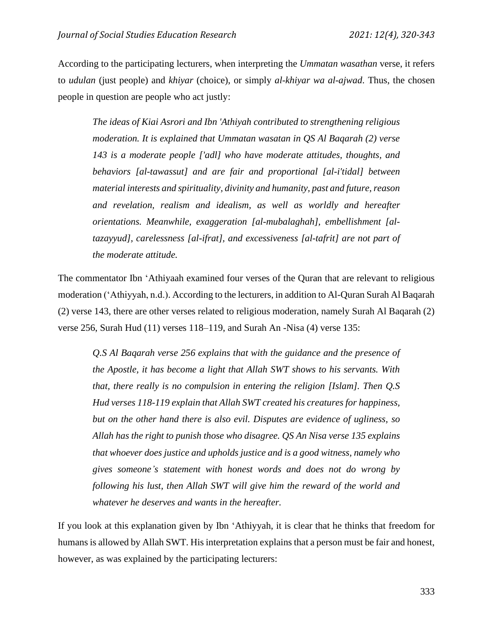According to the participating lecturers, when interpreting the *Ummatan wasathan* verse, it refers to *udulan* (just people) and *khiyar* (choice), or simply *al-khiyar wa al-ajwad*. Thus, the chosen people in question are people who act justly:

*The ideas of Kiai Asrori and Ibn 'Athiyah contributed to strengthening religious moderation. It is explained that Ummatan wasatan in QS Al Baqarah (2) verse 143 is a moderate people ['adl] who have moderate attitudes, thoughts, and behaviors [al-tawassut] and are fair and proportional [al-i'tidal] between material interests and spirituality, divinity and humanity, past and future, reason and revelation, realism and idealism, as well as worldly and hereafter orientations. Meanwhile, exaggeration [al-mubalaghah], embellishment [altazayyud], carelessness [al-ifrat], and excessiveness [al-tafrit] are not part of the moderate attitude.*

The commentator Ibn 'Athiyaah examined four verses of the Quran that are relevant to religious moderation ('Athiyyah, n.d.). According to the lecturers, in addition to Al-Quran Surah Al Baqarah (2) verse 143, there are other verses related to religious moderation, namely Surah Al Baqarah (2) verse 256, Surah Hud (11) verses 118–119, and Surah An -Nisa (4) verse 135:

*Q.S Al Baqarah verse 256 explains that with the guidance and the presence of the Apostle, it has become a light that Allah SWT shows to his servants. With that, there really is no compulsion in entering the religion [Islam]. Then Q.S Hud verses 118-119 explain that Allah SWT created his creatures for happiness, but on the other hand there is also evil. Disputes are evidence of ugliness, so Allah has the right to punish those who disagree. QS An Nisa verse 135 explains that whoever does justice and upholds justice and is a good witness, namely who gives someone's statement with honest words and does not do wrong by following his lust, then Allah SWT will give him the reward of the world and whatever he deserves and wants in the hereafter.*

If you look at this explanation given by Ibn 'Athiyyah, it is clear that he thinks that freedom for humans is allowed by Allah SWT. His interpretation explains that a person must be fair and honest, however, as was explained by the participating lecturers: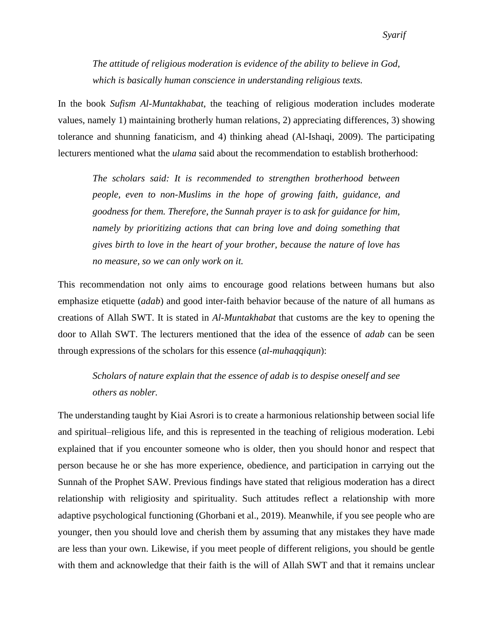*The attitude of religious moderation is evidence of the ability to believe in God, which is basically human conscience in understanding religious texts.*

In the book *Sufism Al-Muntakhabat*, the teaching of religious moderation includes moderate values, namely 1) maintaining brotherly human relations, 2) appreciating differences, 3) showing tolerance and shunning fanaticism, and 4) thinking ahead (Al-Ishaqi, 2009). The participating lecturers mentioned what the *ulama* said about the recommendation to establish brotherhood:

*The scholars said: It is recommended to strengthen brotherhood between people, even to non-Muslims in the hope of growing faith, guidance, and goodness for them. Therefore, the Sunnah prayer is to ask for guidance for him, namely by prioritizing actions that can bring love and doing something that gives birth to love in the heart of your brother, because the nature of love has no measure, so we can only work on it.*

This recommendation not only aims to encourage good relations between humans but also emphasize etiquette (*adab*) and good inter-faith behavior because of the nature of all humans as creations of Allah SWT. It is stated in *Al-Muntakhabat* that customs are the key to opening the door to Allah SWT. The lecturers mentioned that the idea of the essence of *adab* can be seen through expressions of the scholars for this essence (*al-muhaqqiqun*):

*Scholars of nature explain that the essence of adab is to despise oneself and see others as nobler.*

The understanding taught by Kiai Asrori is to create a harmonious relationship between social life and spiritual–religious life, and this is represented in the teaching of religious moderation. Lebi explained that if you encounter someone who is older, then you should honor and respect that person because he or she has more experience, obedience, and participation in carrying out the Sunnah of the Prophet SAW. Previous findings have stated that religious moderation has a direct relationship with religiosity and spirituality. Such attitudes reflect a relationship with more adaptive psychological functioning (Ghorbani et al., 2019). Meanwhile, if you see people who are younger, then you should love and cherish them by assuming that any mistakes they have made are less than your own. Likewise, if you meet people of different religions, you should be gentle with them and acknowledge that their faith is the will of Allah SWT and that it remains unclear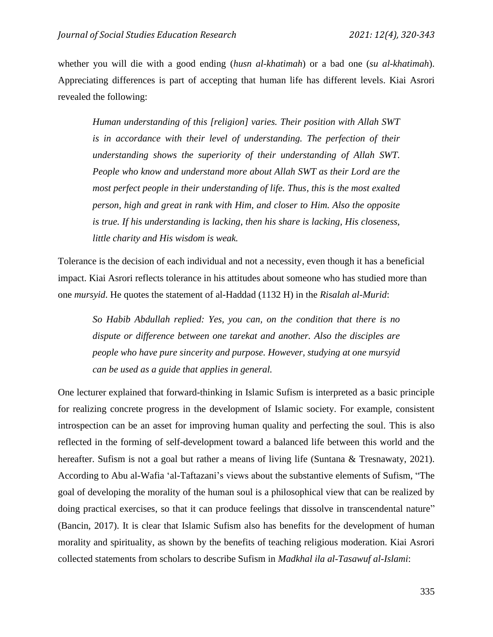whether you will die with a good ending (*husn al-khatimah*) or a bad one (*su al-khatimah*). Appreciating differences is part of accepting that human life has different levels. Kiai Asrori revealed the following:

*Human understanding of this [religion] varies. Their position with Allah SWT is in accordance with their level of understanding. The perfection of their understanding shows the superiority of their understanding of Allah SWT. People who know and understand more about Allah SWT as their Lord are the most perfect people in their understanding of life. Thus, this is the most exalted person, high and great in rank with Him, and closer to Him. Also the opposite is true. If his understanding is lacking, then his share is lacking, His closeness, little charity and His wisdom is weak.*

Tolerance is the decision of each individual and not a necessity, even though it has a beneficial impact. Kiai Asrori reflects tolerance in his attitudes about someone who has studied more than one *mursyid*. He quotes the statement of al-Haddad (1132 H) in the *Risalah al-Murid*:

*So Habib Abdullah replied: Yes, you can, on the condition that there is no dispute or difference between one tarekat and another. Also the disciples are people who have pure sincerity and purpose. However, studying at one mursyid can be used as a guide that applies in general.*

One lecturer explained that forward-thinking in Islamic Sufism is interpreted as a basic principle for realizing concrete progress in the development of Islamic society. For example, consistent introspection can be an asset for improving human quality and perfecting the soul. This is also reflected in the forming of self-development toward a balanced life between this world and the hereafter. Sufism is not a goal but rather a means of living life (Suntana & Tresnawaty, 2021). According to Abu al-Wafia 'al-Taftazani's views about the substantive elements of Sufism, "The goal of developing the morality of the human soul is a philosophical view that can be realized by doing practical exercises, so that it can produce feelings that dissolve in transcendental nature" (Bancin, 2017). It is clear that Islamic Sufism also has benefits for the development of human morality and spirituality, as shown by the benefits of teaching religious moderation. Kiai Asrori collected statements from scholars to describe Sufism in *Madkhal ila al-Tasawuf al-Islami*: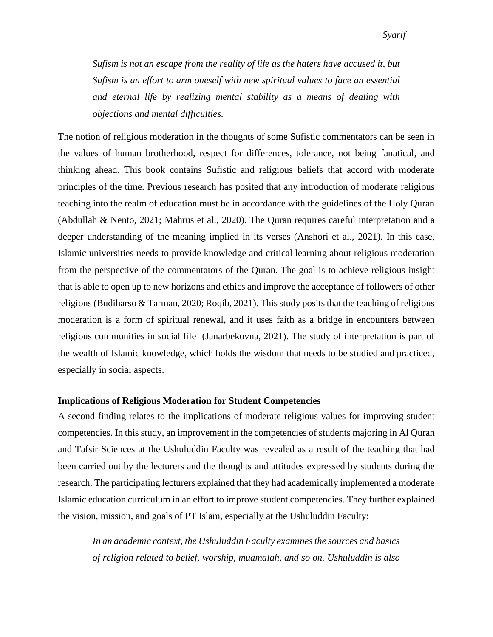*Sufism is not an escape from the reality of life as the haters have accused it, but Sufism is an effort to arm oneself with new spiritual values to face an essential and eternal life by realizing mental stability as a means of dealing with objections and mental difficulties.*

The notion of religious moderation in the thoughts of some Sufistic commentators can be seen in the values of human brotherhood, respect for differences, tolerance, not being fanatical, and thinking ahead. This book contains Sufistic and religious beliefs that accord with moderate principles of the time. Previous research has posited that any introduction of moderate religious teaching into the realm of education must be in accordance with the guidelines of the Holy Quran (Abdullah & Nento, 2021; Mahrus et al., 2020). The Quran requires careful interpretation and a deeper understanding of the meaning implied in its verses (Anshori et al., 2021). In this case, Islamic universities needs to provide knowledge and critical learning about religious moderation from the perspective of the commentators of the Quran. The goal is to achieve religious insight that is able to open up to new horizons and ethics and improve the acceptance of followers of other religions (Budiharso  $\&$  Tarman, 2020; Roqib, 2021). This study posits that the teaching of religious moderation is a form of spiritual renewal, and it uses faith as a bridge in encounters between religious communities in social life (Janarbekovna, 2021). The study of interpretation is part of the wealth of Islamic knowledge, which holds the wisdom that needs to be studied and practiced, especially in social aspects.

#### **Implications of Religious Moderation for Student Competencies**

A second finding relates to the implications of moderate religious values for improving student competencies. In this study, an improvement in the competencies of students majoring in Al Quran and Tafsir Sciences at the Ushuluddin Faculty was revealed as a result of the teaching that had been carried out by the lecturers and the thoughts and attitudes expressed by students during the research. The participating lecturers explained that they had academically implemented a moderate Islamic education curriculum in an effort to improve student competencies. They further explained the vision, mission, and goals of PT Islam, especially at the Ushuluddin Faculty:

*In an academic context, the Ushuluddin Faculty examines the sources and basics of religion related to belief, worship, muamalah, and so on. Ushuluddin is also*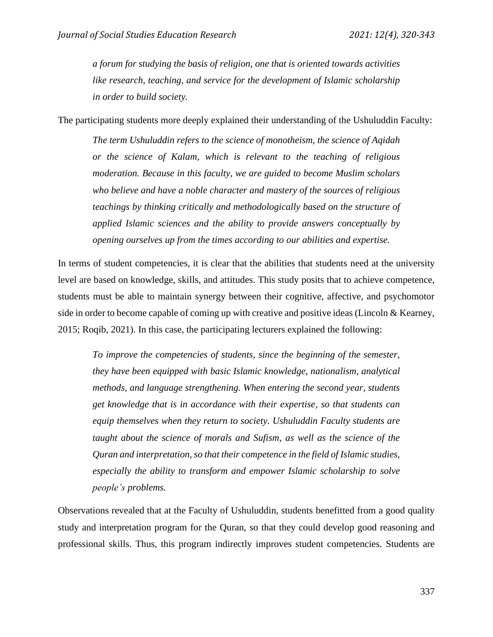*a forum for studying the basis of religion, one that is oriented towards activities like research, teaching, and service for the development of Islamic scholarship in order to build society.*

The participating students more deeply explained their understanding of the Ushuluddin Faculty:

*The term Ushuluddin refers to the science of monotheism, the science of Aqidah or the science of Kalam, which is relevant to the teaching of religious moderation. Because in this faculty, we are guided to become Muslim scholars who believe and have a noble character and mastery of the sources of religious teachings by thinking critically and methodologically based on the structure of applied Islamic sciences and the ability to provide answers conceptually by opening ourselves up from the times according to our abilities and expertise.*

In terms of student competencies, it is clear that the abilities that students need at the university level are based on knowledge, skills, and attitudes. This study posits that to achieve competence, students must be able to maintain synergy between their cognitive, affective, and psychomotor side in order to become capable of coming up with creative and positive ideas (Lincoln & Kearney, 2015; Roqib, 2021). In this case, the participating lecturers explained the following:

*To improve the competencies of students, since the beginning of the semester, they have been equipped with basic Islamic knowledge, nationalism, analytical methods, and language strengthening. When entering the second year, students get knowledge that is in accordance with their expertise, so that students can equip themselves when they return to society. Ushuluddin Faculty students are taught about the science of morals and Sufism, as well as the science of the Quran and interpretation, so that their competence in the field of Islamic studies, especially the ability to transform and empower Islamic scholarship to solve people's problems.*

Observations revealed that at the Faculty of Ushuluddin, students benefitted from a good quality study and interpretation program for the Quran, so that they could develop good reasoning and professional skills. Thus, this program indirectly improves student competencies. Students are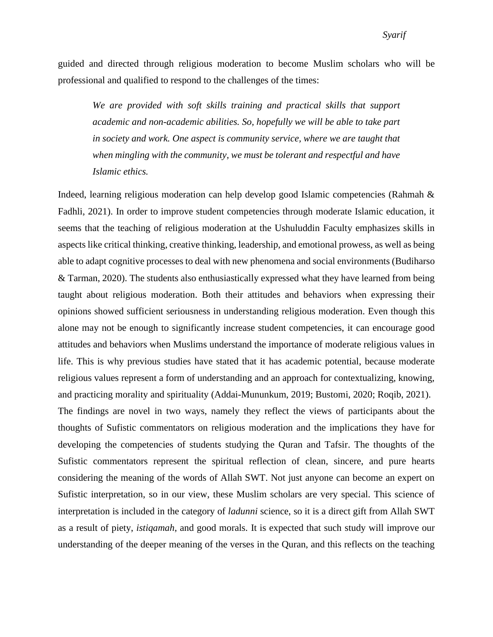guided and directed through religious moderation to become Muslim scholars who will be professional and qualified to respond to the challenges of the times:

We are provided with soft skills training and practical skills that support *academic and non-academic abilities. So, hopefully we will be able to take part in society and work. One aspect is community service, where we are taught that when mingling with the community, we must be tolerant and respectful and have Islamic ethics.*

Indeed, learning religious moderation can help develop good Islamic competencies (Rahmah & Fadhli, 2021). In order to improve student competencies through moderate Islamic education, it seems that the teaching of religious moderation at the Ushuluddin Faculty emphasizes skills in aspects like critical thinking, creative thinking, leadership, and emotional prowess, as well as being able to adapt cognitive processes to deal with new phenomena and social environments (Budiharso & Tarman, 2020). The students also enthusiastically expressed what they have learned from being taught about religious moderation. Both their attitudes and behaviors when expressing their opinions showed sufficient seriousness in understanding religious moderation. Even though this alone may not be enough to significantly increase student competencies, it can encourage good attitudes and behaviors when Muslims understand the importance of moderate religious values in life. This is why previous studies have stated that it has academic potential, because moderate religious values represent a form of understanding and an approach for contextualizing, knowing, and practicing morality and spirituality (Addai-Mununkum, 2019; Bustomi, 2020; Roqib, 2021). The findings are novel in two ways, namely they reflect the views of participants about the thoughts of Sufistic commentators on religious moderation and the implications they have for developing the competencies of students studying the Quran and Tafsir. The thoughts of the Sufistic commentators represent the spiritual reflection of clean, sincere, and pure hearts considering the meaning of the words of Allah SWT. Not just anyone can become an expert on Sufistic interpretation, so in our view, these Muslim scholars are very special. This science of interpretation is included in the category of *ladunni* science, so it is a direct gift from Allah SWT as a result of piety, *istiqamah*, and good morals. It is expected that such study will improve our understanding of the deeper meaning of the verses in the Quran, and this reflects on the teaching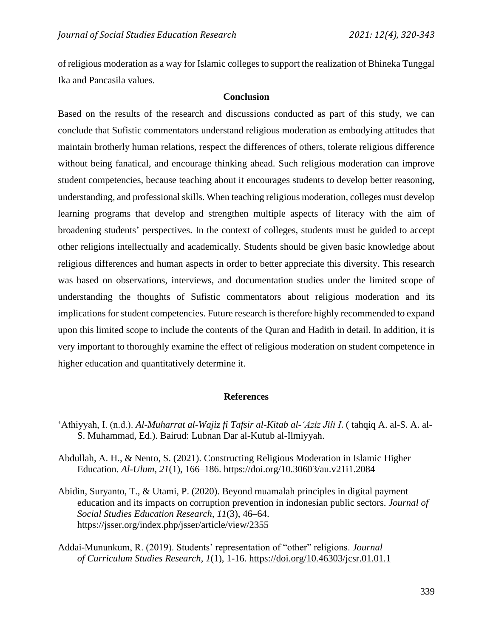of religious moderation as a way for Islamic colleges to support the realization of Bhineka Tunggal Ika and Pancasila values.

### **Conclusion**

Based on the results of the research and discussions conducted as part of this study, we can conclude that Sufistic commentators understand religious moderation as embodying attitudes that maintain brotherly human relations, respect the differences of others, tolerate religious difference without being fanatical, and encourage thinking ahead. Such religious moderation can improve student competencies, because teaching about it encourages students to develop better reasoning, understanding, and professional skills. When teaching religious moderation, colleges must develop learning programs that develop and strengthen multiple aspects of literacy with the aim of broadening students' perspectives. In the context of colleges, students must be guided to accept other religions intellectually and academically. Students should be given basic knowledge about religious differences and human aspects in order to better appreciate this diversity. This research was based on observations, interviews, and documentation studies under the limited scope of understanding the thoughts of Sufistic commentators about religious moderation and its implications for student competencies. Future research is therefore highly recommended to expand upon this limited scope to include the contents of the Quran and Hadith in detail. In addition, it is very important to thoroughly examine the effect of religious moderation on student competence in higher education and quantitatively determine it.

#### **References**

- 'Athiyyah, I. (n.d.). *Al-Muharrat al-Wajiz fi Tafsir al-Kitab al-'Aziz Jili I*. ( tahqiq A. al-S. A. al-S. Muhammad, Ed.). Bairud: Lubnan Dar al-Kutub al-Ilmiyyah.
- Abdullah, A. H., & Nento, S. (2021). Constructing Religious Moderation in Islamic Higher Education. *Al-Ulum*, *21*(1), 166–186. https://doi.org/10.30603/au.v21i1.2084
- Abidin, Suryanto, T., & Utami, P. (2020). Beyond muamalah principles in digital payment education and its impacts on corruption prevention in indonesian public sectors. *Journal of Social Studies Education Research*, *11*(3), 46–64. https://jsser.org/index.php/jsser/article/view/2355
- Addai-Mununkum, R. (2019). Students' representation of "other" religions. *Journal of Curriculum Studies Research*, *1*(1), 1-16.<https://doi.org/10.46303/jcsr.01.01.1>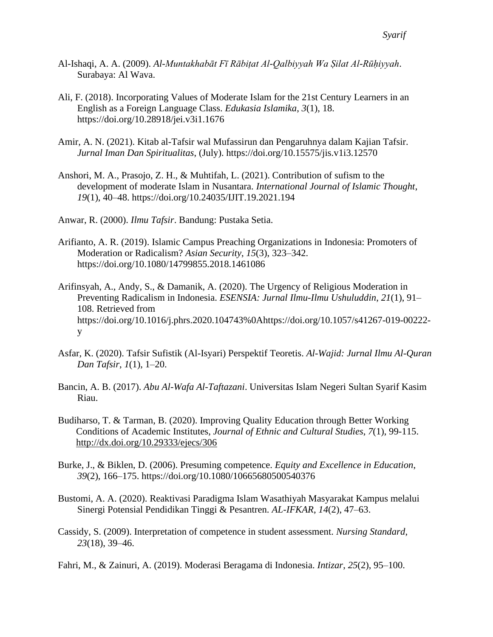- Al-Ishaqi, A. A. (2009). *Al-Muntakhabāt Fī Rābiṭat Al-Qalbiyyah Wa Ṣilat Al-Rūḥiyyah*. Surabaya: Al Wava.
- Ali, F. (2018). Incorporating Values of Moderate Islam for the 21st Century Learners in an English as a Foreign Language Class. *Edukasia Islamika*, *3*(1), 18. https://doi.org/10.28918/jei.v3i1.1676
- Amir, A. N. (2021). Kitab al-Tafsir wal Mufassirun dan Pengaruhnya dalam Kajian Tafsir. *Jurnal Iman Dan Spiritualitas*, (July). https://doi.org/10.15575/jis.v1i3.12570
- Anshori, M. A., Prasojo, Z. H., & Muhtifah, L. (2021). Contribution of sufism to the development of moderate Islam in Nusantara. *International Journal of Islamic Thought*, *19*(1), 40–48. https://doi.org/10.24035/IJIT.19.2021.194

Anwar, R. (2000). *Ilmu Tafsir*. Bandung: Pustaka Setia.

- Arifianto, A. R. (2019). Islamic Campus Preaching Organizations in Indonesia: Promoters of Moderation or Radicalism? *Asian Security*, *15*(3), 323–342. https://doi.org/10.1080/14799855.2018.1461086
- Arifinsyah, A., Andy, S., & Damanik, A. (2020). The Urgency of Religious Moderation in Preventing Radicalism in Indonesia. *ESENSIA: Jurnal Ilmu-Ilmu Ushuluddin*, *21*(1), 91– 108. Retrieved from https://doi.org/10.1016/j.phrs.2020.104743%0Ahttps://doi.org/10.1057/s41267-019-00222 y
- Asfar, K. (2020). Tafsir Sufistik (Al-Isyari) Perspektif Teoretis. *Al-Wajid: Jurnal Ilmu Al-Quran Dan Tafsir*, *1*(1), 1–20.
- Bancin, A. B. (2017). *Abu Al-Wafa Al-Taftazani*. Universitas Islam Negeri Sultan Syarif Kasim Riau.
- Budiharso, T. & Tarman, B. (2020). Improving Quality Education through Better Working Conditions of Academic Institutes, *Journal of Ethnic and Cultural Studies*, *7*(1), 99-115. <http://dx.doi.org/10.29333/ejecs/306>
- Burke, J., & Biklen, D. (2006). Presuming competence. *Equity and Excellence in Education*, *39*(2), 166–175. https://doi.org/10.1080/10665680500540376
- Bustomi, A. A. (2020). Reaktivasi Paradigma Islam Wasathiyah Masyarakat Kampus melalui Sinergi Potensial Pendidikan Tinggi & Pesantren. *AL-IFKAR*, *14*(2), 47–63.
- Cassidy, S. (2009). Interpretation of competence in student assessment. *Nursing Standard*, *23*(18), 39–46.

Fahri, M., & Zainuri, A. (2019). Moderasi Beragama di Indonesia. *Intizar*, *25*(2), 95–100.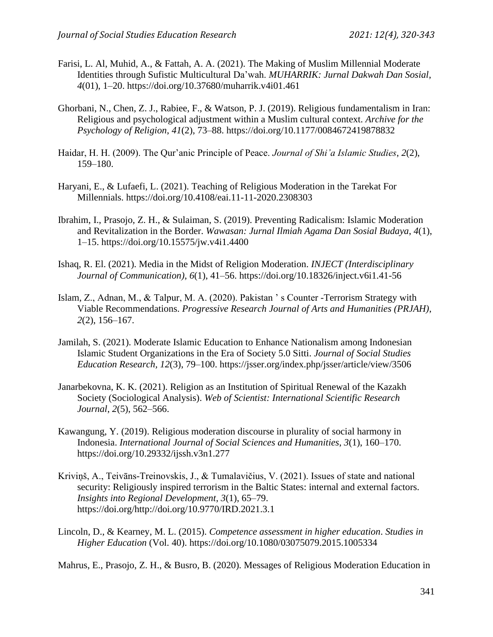- Farisi, L. Al, Muhid, A., & Fattah, A. A. (2021). The Making of Muslim Millennial Moderate Identities through Sufistic Multicultural Da'wah. *MUHARRIK: Jurnal Dakwah Dan Sosial*, *4*(01), 1–20. https://doi.org/10.37680/muharrik.v4i01.461
- Ghorbani, N., Chen, Z. J., Rabiee, F., & Watson, P. J. (2019). Religious fundamentalism in Iran: Religious and psychological adjustment within a Muslim cultural context. *Archive for the Psychology of Religion*, *41*(2), 73–88. https://doi.org/10.1177/0084672419878832
- Haidar, H. H. (2009). The Qur'anic Principle of Peace. *Journal of Shi'a Islamic Studies*, *2*(2), 159–180.
- Haryani, E., & Lufaefi, L. (2021). Teaching of Religious Moderation in the Tarekat For Millennials. https://doi.org/10.4108/eai.11-11-2020.2308303
- Ibrahim, I., Prasojo, Z. H., & Sulaiman, S. (2019). Preventing Radicalism: Islamic Moderation and Revitalization in the Border. *Wawasan: Jurnal Ilmiah Agama Dan Sosial Budaya*, *4*(1), 1–15. https://doi.org/10.15575/jw.v4i1.4400
- Ishaq, R. El. (2021). Media in the Midst of Religion Moderation. *INJECT (Interdisciplinary Journal of Communication)*, *6*(1), 41–56. https://doi.org/10.18326/inject.v6i1.41-56
- Islam, Z., Adnan, M., & Talpur, M. A. (2020). Pakistan ' s Counter -Terrorism Strategy with Viable Recommendations. *Progressive Research Journal of Arts and Humanities (PRJAH)*, *2*(2), 156–167.
- Jamilah, S. (2021). Moderate Islamic Education to Enhance Nationalism among Indonesian Islamic Student Organizations in the Era of Society 5.0 Sitti. *Journal of Social Studies Education Research, 12*(3), 79–100. https://jsser.org/index.php/jsser/article/view/3506
- Janarbekovna, K. K. (2021). Religion as an Institution of Spiritual Renewal of the Kazakh Society (Sociological Analysis). *Web of Scientist: International Scientific Research Journal*, *2*(5), 562–566.
- Kawangung, Y. (2019). Religious moderation discourse in plurality of social harmony in Indonesia. *International Journal of Social Sciences and Humanities*, *3*(1), 160–170. https://doi.org/10.29332/ijssh.v3n1.277
- Kriviņš, A., Teivāns-Treinovskis, J., & Tumalavičius, V. (2021). Issues of state and national security: Religiously inspired terrorism in the Baltic States: internal and external factors. *Insights into Regional Development*, *3*(1), 65–79. https://doi.org/http://doi.org/10.9770/IRD.2021.3.1
- Lincoln, D., & Kearney, M. L. (2015). *Competence assessment in higher education*. *Studies in Higher Education* (Vol. 40). https://doi.org/10.1080/03075079.2015.1005334

Mahrus, E., Prasojo, Z. H., & Busro, B. (2020). Messages of Religious Moderation Education in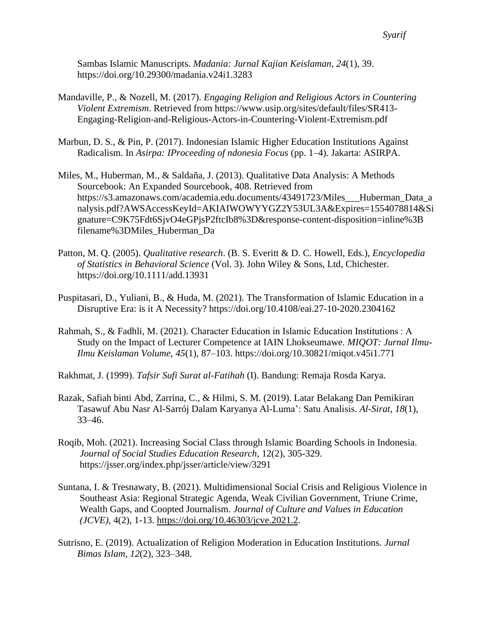Sambas Islamic Manuscripts. *Madania: Jurnal Kajian Keislaman*, *24*(1), 39. https://doi.org/10.29300/madania.v24i1.3283

- Mandaville, P., & Nozell, M. (2017). *Engaging Religion and Religious Actors in Countering Violent Extremism*. Retrieved from https://www.usip.org/sites/default/files/SR413- Engaging-Religion-and-Religious-Actors-in-Countering-Violent-Extremism.pdf
- Marbun, D. S., & Pin, P. (2017). Indonesian Islamic Higher Education Institutions Against Radicalism. In *Asirpa: IProceeding of ndonesia Focus* (pp. 1–4). Jakarta: ASIRPA.
- Miles, M., Huberman, M., & Saldaña, J. (2013). Qualitative Data Analysis: A Methods Sourcebook: An Expanded Sourcebook, 408. Retrieved from https://s3.amazonaws.com/academia.edu.documents/43491723/Miles\_\_\_Huberman\_Data\_a nalysis.pdf?AWSAccessKeyId=AKIAIWOWYYGZ2Y53UL3A&Expires=1554078814&Si gnature=C9K75Fdt6SjvO4eGPjsP2ftcIb8%3D&response-content-disposition=inline%3B filename%3DMiles\_Huberman\_Da
- Patton, M. Q. (2005). *Qualitative research*. (B. S. Everitt & D. C. Howell, Eds.), *Encyclopedia of Statistics in Behavioral Science* (Vol. 3). John Wiley & Sons, Ltd, Chichester. https://doi.org/10.1111/add.13931
- Puspitasari, D., Yuliani, B., & Huda, M. (2021). The Transformation of Islamic Education in a Disruptive Era: is it A Necessity? https://doi.org/10.4108/eai.27-10-2020.2304162
- Rahmah, S., & Fadhli, M. (2021). Character Education in Islamic Education Institutions : A Study on the Impact of Lecturer Competence at IAIN Lhokseumawe. *MIQOT: Jurnal Ilmu-Ilmu Keislaman Volume*, *45*(1), 87–103. https://doi.org/10.30821/miqot.v45i1.771
- Rakhmat, J. (1999). *Tafsir Sufi Surat al-Fatihah* (I). Bandung: Remaja Rosda Karya.
- Razak, Safiah binti Abd, Zarrina, C., & Hilmi, S. M. (2019). Latar Belakang Dan Pemikiran Tasawuf Abu Nasr Al-Sarrój Dalam Karyanya Al-Luma': Satu Analisis. *Al-Sirat*, *18*(1), 33–46.
- Roqib, Moh. (2021). Increasing Social Class through Islamic Boarding Schools in Indonesia. *Journal of Social Studies Education Research*, 12(2), 305-329. https://jsser.org/index.php/jsser/article/view/3291
- Suntana, I. & Tresnawaty, B. (2021). Multidimensional Social Crisis and Religious Violence in Southeast Asia: Regional Strategic Agenda, Weak Civilian Government, Triune Crime, Wealth Gaps, and Coopted Journalism. *Journal of Culture and Values in Education (JCVE)*, 4(2), 1-13. [https://doi.org/10.46303/jcve.2021.2.](https://doi.org/10.46303/jcve.2021.2)
- Sutrisno, E. (2019). Actualization of Religion Moderation in Education Institutions. *Jurnal Bimas Islam*, *12*(2), 323–348.